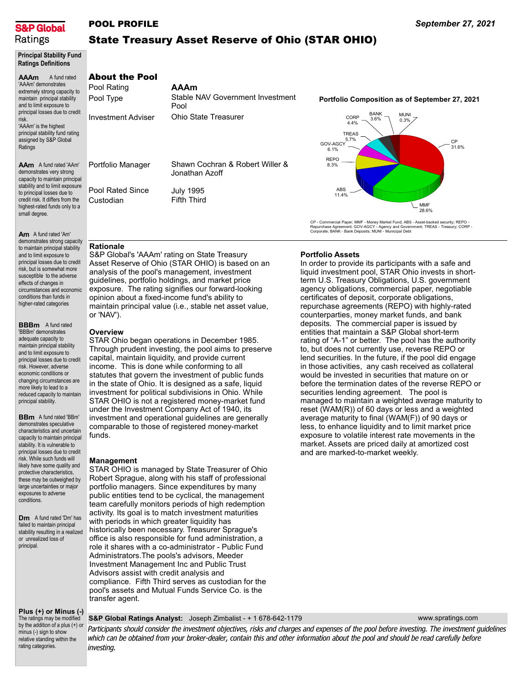

### POOL PROFILE

Pool Rating Pool Type

Investment Adviser

Portfolio Manager

Pool Rated Since Custodian

# State Treasury Asset Reserve of Ohio (STAR OHIO)

Principal Stability Fund Ratings Definitions

#### AAAm AAm A fund rated 'AAm' A fund rated 'AAAm' demonstrates extremely strong capacity to maintain principal stability and to limit exposure to principal losses due to credit risk. 'AAAm' is the highest principal stability fund rating assigned by S&P Global Ratings demonstrates very strong

capacity to maintain principal stability and to limit exposure to principal losses due to credit risk. It differs from the highest-rated funds only to a small degree.

Am A fund rated 'Am' demonstrates strong capacity to maintain principal stability and to limit exposure to principal losses due to credit risk, but is somewhat more susceptible to the adverse effects of changes in circumstances and economic conditions than funds in higher-rated categories

**BBBm** A fund rated 'BBBm' demonstrates adequate capacity to maintain principal stability and to limit exposure to principal losses due to credit risk. However, adverse economic conditions or changing circumstances are more likely to lead to a reduced capacity to maintain principal stability.

**BBm** A fund rated 'BBm' demonstrates speculative characteristics and uncertain capacity to maintain principal stability. It is vulnerable to principal losses due to credit risk. While such funds will likely have some quality and protective characteristics, these may be outweighed by large uncertainties or major exposures to adverse conditions.

**Dm** A fund rated 'Dm' has failed to maintain principal stability resulting in a realized or unrealized loss of principal.

### Plus (+) or Minus (-)

The ratings may be modified by the addition of a plus (+) or minus (-) sign to show relative standing within the rating categories.

### AAAm About the Pool

| AAAM<br>Stable NAV Government Investment<br>Pool   |
|----------------------------------------------------|
| Ohio State Treasurer                               |
|                                                    |
|                                                    |
| Shawn Cochran & Robert Willer &<br>Jonathan Azoff. |
| July 1995                                          |

#### Portfolio Composition as of September 27, 2021



CP - Commercial Paper; MMF - Money Market Fund; ABS - Asset-backed security; REPO -<br>Repurchase Agreement; GOV-AGCY - Agency and Government; TREAS - Treasury; CORP -<br>Corporate; BANK - Bank Deposits; MUNI - Municipal Debt

## Rationale

S&P Global's 'AAAm' rating on State Treasury Asset Reserve of Ohio (STAR OHIO) is based on an analysis of the pool's management, investment guidelines, portfolio holdings, and market price exposure. The rating signifies our forward-looking opinion about a fixed-income fund's ability to maintain principal value (i.e., stable net asset value, or 'NAV').

Fifth Third

#### **Overview**

STAR Ohio began operations in December 1985. Through prudent investing, the pool aims to preserve capital, maintain liquidity, and provide current income. This is done while conforming to all statutes that govern the investment of public funds in the state of Ohio. It is designed as a safe, liquid investment for political subdivisions in Ohio. While STAR OHIO is not a registered money-market fund under the Investment Company Act of 1940, its investment and operational guidelines are generally comparable to those of registered money-market funds.

### Management

STAR OHIO is managed by State Treasurer of Ohio Robert Sprague, along with his staff of professional portfolio managers. Since expenditures by many public entities tend to be cyclical, the management team carefully monitors periods of high redemption activity. Its goal is to match investment maturities with periods in which greater liquidity has historically been necessary. Treasurer Sprague's office is also responsible for fund administration, a role it shares with a co-administrator - Public Fund Administrators.The pools's advisors, Meeder Investment Management Inc and Public Trust Advisors assist with credit analysis and compliance. Fifth Third serves as custodian for the pool's assets and Mutual Funds Service Co. is the transfer agent.

### Portfolio Assets

In order to provide its participants with a safe and liquid investment pool, STAR Ohio invests in shortterm U.S. Treasury Obligations, U.S. government agency obligations, commercial paper, negotiable certificates of deposit, corporate obligations, repurchase agreements (REPO) with highly-rated counterparties, money market funds, and bank deposits. The commercial paper is issued by entities that maintain a S&P Global short-term rating of "A-1" or better. The pool has the authority to, but does not currently use, reverse REPO or lend securities. In the future, if the pool did engage in those activities, any cash received as collateral would be invested in securities that mature on or before the termination dates of the reverse REPO or securities lending agreement. The pool is managed to maintain a weighted average maturity to reset (WAM(R)) of 60 days or less and a weighted average maturity to final (WAM(F)) of 90 days or less, to enhance liquidity and to limit market price exposure to volatile interest rate movements in the market. Assets are priced daily at amortized cost and are marked-to-market weekly.

#### www.spratings.com

#### S&P Global Ratings Analyst: Joseph Zimbalist - + 1 678-642-1179

Participants should consider the investment objectives, risks and charges and expenses of the pool before investing. The investment guidelines which can be obtained from your broker-dealer, contain this and other information about the pool and should be read carefully before investing.